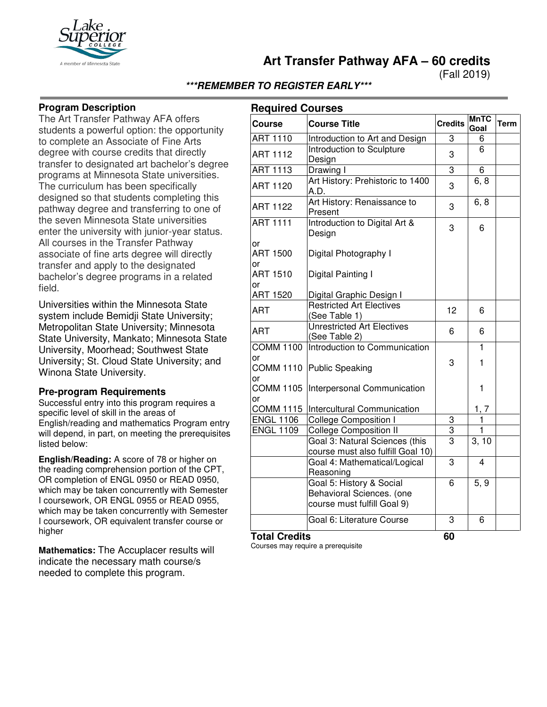

**Art Transfer Pathway AFA – 60 credits**

(Fall 2019)

## **\*\*\*REMEMBER TO REGISTER EARLY\*\*\***

#### **Program Description**

The Art Transfer Pathway AFA offers students a powerful option: the opportunity to complete an Associate of Fine Arts degree with course credits that directly transfer to designated art bachelor's degree programs at Minnesota State universities. The curriculum has been specifically designed so that students completing this pathway degree and transferring to one of the seven Minnesota State universities enter the university with junior-year status. All courses in the Transfer Pathway associate of fine arts degree will directly transfer and apply to the designated bachelor's degree programs in a related field.

Universities within the Minnesota State system include Bemidji State University; Metropolitan State University; Minnesota State University, Mankato; Minnesota State University, Moorhead; Southwest State University; St. Cloud State University; and Winona State University.

#### **Pre-program Requirements**

Successful entry into this program requires a specific level of skill in the areas of English/reading and mathematics Program entry will depend, in part, on meeting the prerequisites listed below:

**English/Reading:** A score of 78 or higher on the reading comprehension portion of the CPT, OR completion of ENGL 0950 or READ 0950, which may be taken concurrently with Semester I coursework, OR ENGL 0955 or READ 0955, which may be taken concurrently with Semester I coursework, OR equivalent transfer course or higher

**Mathematics:** The Accuplacer results will indicate the necessary math course/s needed to complete this program.

## **Required Courses**

| <b>ART 1110</b><br><b>ART 1112</b><br><b>ART 1113</b> | Introduction to Art and Design<br>Introduction to Sculpture<br>Design                | 3              | 6            |  |
|-------------------------------------------------------|--------------------------------------------------------------------------------------|----------------|--------------|--|
|                                                       |                                                                                      |                |              |  |
|                                                       |                                                                                      | 3              | 6            |  |
|                                                       | Drawing I                                                                            | 3              | 6            |  |
| <b>ART 1120</b>                                       | Art History: Prehistoric to 1400<br>A.D.                                             | 3              | 6, 8         |  |
| <b>ART 1122</b>                                       | Art History: Renaissance to<br>Present                                               | 3              | 6, 8         |  |
| <b>ART 1111</b>                                       | Introduction to Digital Art &<br>Design                                              | 3              | 6            |  |
| or<br><b>ART 1500</b><br>or                           | Digital Photography I                                                                |                |              |  |
| <b>ART 1510</b><br>or                                 | Digital Painting I                                                                   |                |              |  |
| <b>ART 1520</b>                                       | Digital Graphic Design I                                                             |                |              |  |
| ART                                                   | <b>Restricted Art Electives</b><br>(See Table 1)                                     | 12             | 6            |  |
| <b>ART</b>                                            | <b>Unrestricted Art Electives</b><br>(See Table 2)                                   | 6              | 6            |  |
| <b>COMM 1100</b>                                      | Introduction to Communication                                                        |                | $\mathbf{1}$ |  |
| or<br><b>COMM 1110</b><br>or                          | <b>Public Speaking</b>                                                               | 3              | 1            |  |
| <b>COMM 1105</b><br>or                                | Interpersonal Communication                                                          |                | 1            |  |
| <b>COMM 1115</b>                                      | Intercultural Communication                                                          |                | 1, 7         |  |
| <b>ENGL 1106</b>                                      | <b>College Composition I</b>                                                         | 3              | $\mathbf{1}$ |  |
| <b>ENGL 1109</b>                                      | <b>College Composition II</b>                                                        | $\overline{3}$ | 1            |  |
|                                                       | Goal 3: Natural Sciences (this<br>course must also fulfill Goal 10)                  | 3              | 3, 10        |  |
|                                                       | Goal 4: Mathematical/Logical<br>Reasoning                                            | 3              | 4            |  |
|                                                       | Goal 5: History & Social<br>Behavioral Sciences. (one<br>course must fulfill Goal 9) | 6              | 5, 9         |  |
| <b>Total Credits</b>                                  | Goal 6: Literature Course                                                            | 3<br>60        | 6            |  |

Courses may require a prerequisite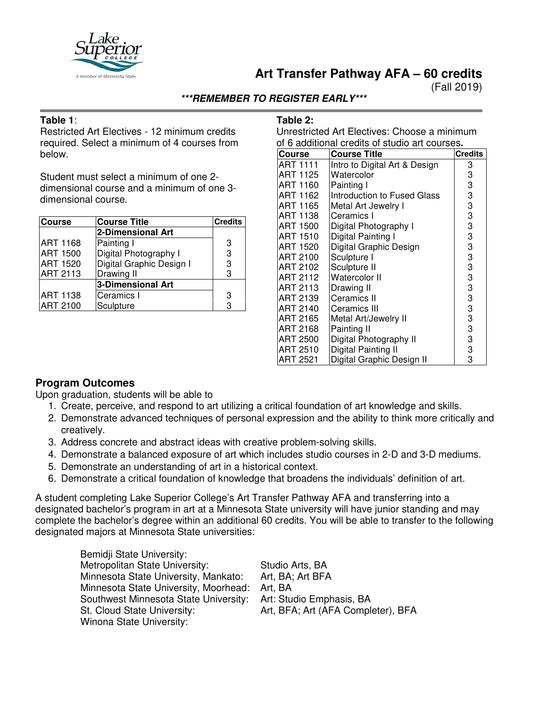

# **Art Transfer Pathway AFA – 60 credits**

(Fall 2019)

### **\*\*\*REMEMBER TO REGISTER EARLY\*\*\***

### **Table 1**:

Restricted Art Electives - 12 minimum credits required. Select a minimum of 4 courses from below.

Student must select a minimum of one 2 dimensional course and a minimum of one 3 dimensional course.

| <b>Course</b>   | <b>Course Title</b>      | <b>Credits</b> |
|-----------------|--------------------------|----------------|
|                 | 2-Dimensional Art        |                |
| <b>ART 1168</b> | Painting I               | 3              |
| <b>ART 1500</b> | Digital Photography I    | 3              |
| <b>ART 1520</b> | Digital Graphic Design I | 3              |
| <b>ART 2113</b> | Drawing II               | 3              |
|                 | <b>3-Dimensional Art</b> |                |
| <b>ART 1138</b> | Ceramics I               | 3              |
| <b>ART 2100</b> | Sculpture                | 3              |

#### **Table 2:**

Unrestricted Art Electives: Choose a minimum of 6 additional credits of studio art courses**.**

| <b>Course</b>   | <b>Course Title</b>           | <b>Credits</b> |
|-----------------|-------------------------------|----------------|
| <b>ART 1111</b> | Intro to Digital Art & Design | 3              |
| ART 1125        | Watercolor                    | 3              |
| ART 1160        | Painting I                    | 3              |
| ART 1162        | Introduction to Fused Glass   | 3              |
| ART 1165        | Metal Art Jewelry I           | 3              |
| ART 1138        | Ceramics I                    | 3              |
| ART 1500        | Digital Photography I         | 3              |
| ART 1510        | Digital Painting I            | 3              |
| <b>ART 1520</b> | Digital Graphic Design        | 3              |
| ART 2100        | Sculpture I                   | 3              |
| ART 2102        | Sculpture II                  | 3              |
| ART 2112        | Watercolor II                 | 3              |
| ART 2113        | Drawing II                    | 3              |
| ART 2139        | Ceramics II                   | 3              |
| ART 2140        | Ceramics III                  | 3              |
| ART 2165        | Metal Art/Jewelry II          | 3              |
| ART 2168        | Painting II                   | 3              |
| <b>ART 2500</b> | Digital Photography II        | 3              |
| ART 2510        | Digital Painting II           | 3              |
| <b>ART 2521</b> | Digital Graphic Design II     | 3              |

## **Program Outcomes**

Upon graduation, students will be able to

- 1. Create, perceive, and respond to art utilizing a critical foundation of art knowledge and skills.
- 2. Demonstrate advanced techniques of personal expression and the ability to think more critically and creatively.
- 3. Address concrete and abstract ideas with creative problem-solving skills.
- 4. Demonstrate a balanced exposure of art which includes studio courses in 2-D and 3-D mediums.
- 5. Demonstrate an understanding of art in a historical context.
- 6. Demonstrate a critical foundation of knowledge that broadens the individuals' definition of art.

A student completing Lake Superior College's Art Transfer Pathway AFA and transferring into a designated bachelor's program in art at a Minnesota State university will have junior standing and may complete the bachelor's degree within an additional 60 credits. You will be able to transfer to the following designated majors at Minnesota State universities:

| Bemidji State University:             |                                    |
|---------------------------------------|------------------------------------|
| Metropolitan State University:        | Studio Arts, BA                    |
| Minnesota State University, Mankato:  | Art, BA: Art BFA                   |
| Minnesota State University, Moorhead: | Art, BA                            |
| Southwest Minnesota State University: | Art: Studio Emphasis, BA           |
| St. Cloud State University:           | Art, BFA; Art (AFA Completer), BFA |
| Winona State University:              |                                    |